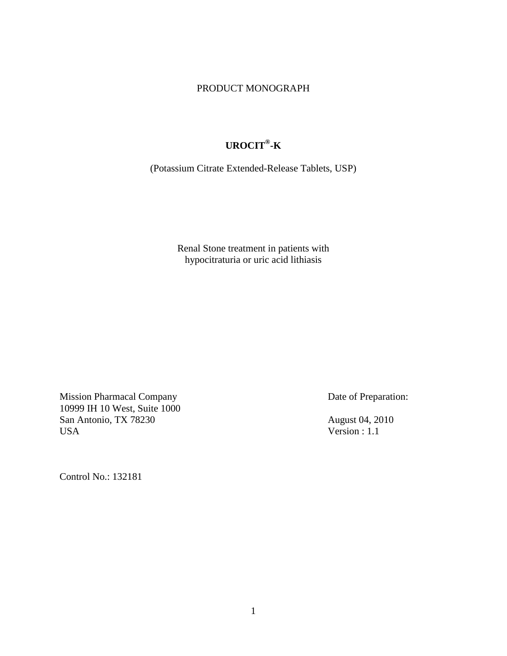# PRODUCT MONOGRAPH

# **UROCIT® -K**

(Potassium Citrate Extended-Release Tablets, USP)

Renal Stone treatment in patients with hypocitraturia or uric acid lithiasis

Mission Pharmacal Company Date of Preparation: 10999 IH 10 West, Suite 1000 San Antonio, TX 78230 August 04, 2010 USA Version : 1.1

Control No.: 132181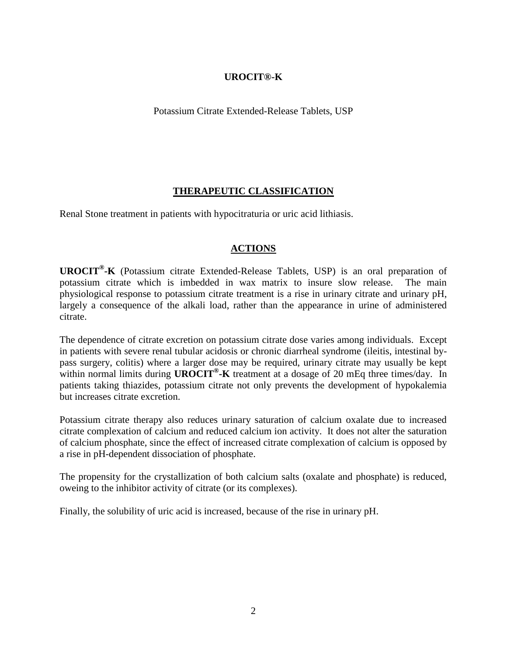# **UROCIT®-K**

Potassium Citrate Extended-Release Tablets, USP

# **THERAPEUTIC CLASSIFICATION**

Renal Stone treatment in patients with hypocitraturia or uric acid lithiasis.

# **ACTIONS**

**UROCIT® -K** (Potassium citrate Extended-Release Tablets, USP) is an oral preparation of potassium citrate which is imbedded in wax matrix to insure slow release. The main physiological response to potassium citrate treatment is a rise in urinary citrate and urinary pH, largely a consequence of the alkali load, rather than the appearance in urine of administered citrate.

The dependence of citrate excretion on potassium citrate dose varies among individuals. Except in patients with severe renal tubular acidosis or chronic diarrheal syndrome (ileitis, intestinal bypass surgery, colitis) where a larger dose may be required, urinary citrate may usually be kept within normal limits during **UROCIT® -K** treatment at a dosage of 20 mEq three times/day. In patients taking thiazides, potassium citrate not only prevents the development of hypokalemia but increases citrate excretion.

Potassium citrate therapy also reduces urinary saturation of calcium oxalate due to increased citrate complexation of calcium and reduced calcium ion activity. It does not alter the saturation of calcium phosphate, since the effect of increased citrate complexation of calcium is opposed by a rise in pH-dependent dissociation of phosphate.

The propensity for the crystallization of both calcium salts (oxalate and phosphate) is reduced, oweing to the inhibitor activity of citrate (or its complexes).

Finally, the solubility of uric acid is increased, because of the rise in urinary pH.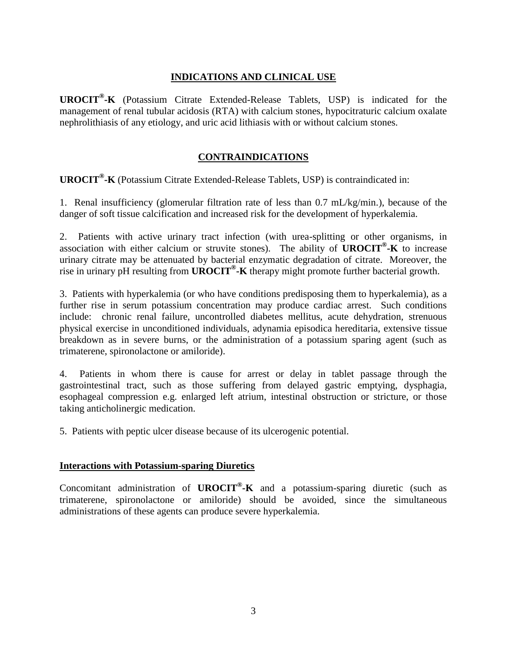# **INDICATIONS AND CLINICAL USE**

**UROCIT® -K** (Potassium Citrate Extended-Release Tablets, USP) is indicated for the management of renal tubular acidosis (RTA) with calcium stones, hypocitraturic calcium oxalate nephrolithiasis of any etiology, and uric acid lithiasis with or without calcium stones.

# **CONTRAINDICATIONS**

**UROCIT® -K** (Potassium Citrate Extended-Release Tablets, USP) is contraindicated in:

1. Renal insufficiency (glomerular filtration rate of less than 0.7 mL/kg/min.), because of the danger of soft tissue calcification and increased risk for the development of hyperkalemia.

2. Patients with active urinary tract infection (with urea-splitting or other organisms, in association with either calcium or struvite stones). The ability of **UROCIT® -K** to increase urinary citrate may be attenuated by bacterial enzymatic degradation of citrate. Moreover, the rise in urinary pH resulting from **UROCIT® -K** therapy might promote further bacterial growth.

3. Patients with hyperkalemia (or who have conditions predisposing them to hyperkalemia), as a further rise in serum potassium concentration may produce cardiac arrest. Such conditions include: chronic renal failure, uncontrolled diabetes mellitus, acute dehydration, strenuous physical exercise in unconditioned individuals, adynamia episodica hereditaria, extensive tissue breakdown as in severe burns, or the administration of a potassium sparing agent (such as trimaterene, spironolactone or amiloride).

4. Patients in whom there is cause for arrest or delay in tablet passage through the gastrointestinal tract, such as those suffering from delayed gastric emptying, dysphagia, esophageal compression e.g. enlarged left atrium, intestinal obstruction or stricture, or those taking anticholinergic medication.

5. Patients with peptic ulcer disease because of its ulcerogenic potential.

#### **Interactions with Potassium-sparing Diuretics**

Concomitant administration of **UROCIT® -K** and a potassium-sparing diuretic (such as trimaterene, spironolactone or amiloride) should be avoided, since the simultaneous administrations of these agents can produce severe hyperkalemia.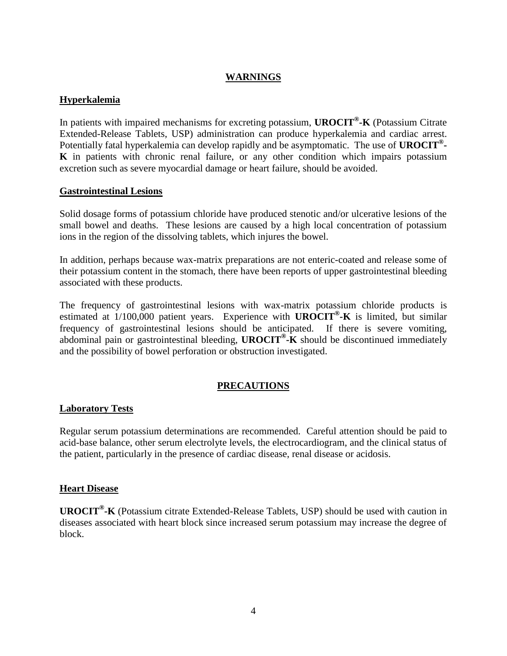### **WARNINGS**

### **Hyperkalemia**

In patients with impaired mechanisms for excreting potassium, **UROCIT® -K** (Potassium Citrate Extended-Release Tablets, USP) administration can produce hyperkalemia and cardiac arrest. Potentially fatal hyperkalemia can develop rapidly and be asymptomatic. The use of **UROCIT® - K** in patients with chronic renal failure, or any other condition which impairs potassium excretion such as severe myocardial damage or heart failure, should be avoided.

#### **Gastrointestinal Lesions**

Solid dosage forms of potassium chloride have produced stenotic and/or ulcerative lesions of the small bowel and deaths. These lesions are caused by a high local concentration of potassium ions in the region of the dissolving tablets, which injures the bowel.

In addition, perhaps because wax-matrix preparations are not enteric-coated and release some of their potassium content in the stomach, there have been reports of upper gastrointestinal bleeding associated with these products.

The frequency of gastrointestinal lesions with wax-matrix potassium chloride products is estimated at 1/100,000 patient years. Experience with **UROCIT® -K** is limited, but similar frequency of gastrointestinal lesions should be anticipated. If there is severe vomiting, abdominal pain or gastrointestinal bleeding, **UROCIT® -K** should be discontinued immediately and the possibility of bowel perforation or obstruction investigated.

## **PRECAUTIONS**

#### **Laboratory Tests**

Regular serum potassium determinations are recommended. Careful attention should be paid to acid-base balance, other serum electrolyte levels, the electrocardiogram, and the clinical status of the patient, particularly in the presence of cardiac disease, renal disease or acidosis.

#### **Heart Disease**

**UROCIT® -K** (Potassium citrate Extended-Release Tablets, USP) should be used with caution in diseases associated with heart block since increased serum potassium may increase the degree of block.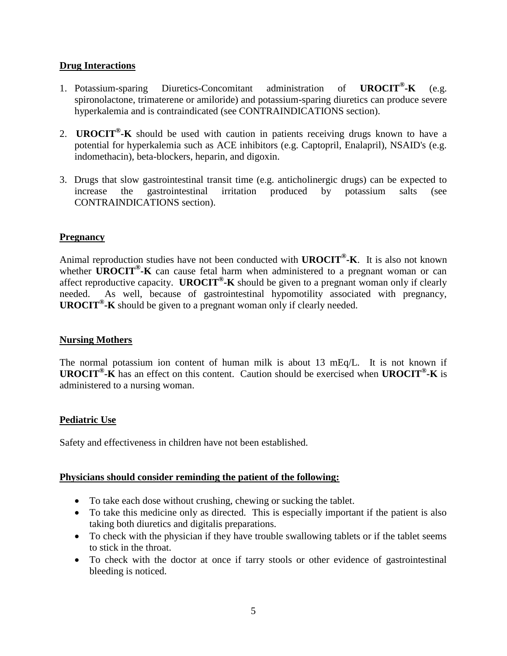# **Drug Interactions**

- 1. Potassium-sparing Diuretics-Concomitant administration of **UROCIT® -K** (e.g. spironolactone, trimaterene or amiloride) and potassium-sparing diuretics can produce severe hyperkalemia and is contraindicated (see CONTRAINDICATIONS section).
- 2. **UROCIT® -K** should be used with caution in patients receiving drugs known to have a potential for hyperkalemia such as ACE inhibitors (e.g. Captopril, Enalapril), NSAID's (e.g. indomethacin), beta-blockers, heparin, and digoxin.
- 3. Drugs that slow gastrointestinal transit time (e.g. anticholinergic drugs) can be expected to increase the gastrointestinal irritation produced by potassium salts (see CONTRAINDICATIONS section).

# **Pregnancy**

Animal reproduction studies have not been conducted with **UROCIT® -K**. It is also not known whether **UROCIT® -K** can cause fetal harm when administered to a pregnant woman or can affect reproductive capacity. **UROCIT® -K** should be given to a pregnant woman only if clearly needed. As well, because of gastrointestinal hypomotility associated with pregnancy, **UROCIT® -K** should be given to a pregnant woman only if clearly needed.

## **Nursing Mothers**

The normal potassium ion content of human milk is about 13 mEq/L. It is not known if **UROCIT® -K** has an effect on this content. Caution should be exercised when **UROCIT® -K** is administered to a nursing woman.

## **Pediatric Use**

Safety and effectiveness in children have not been established.

## **Physicians should consider reminding the patient of the following:**

- To take each dose without crushing, chewing or sucking the tablet.
- To take this medicine only as directed. This is especially important if the patient is also taking both diuretics and digitalis preparations.
- To check with the physician if they have trouble swallowing tablets or if the tablet seems to stick in the throat.
- To check with the doctor at once if tarry stools or other evidence of gastrointestinal bleeding is noticed.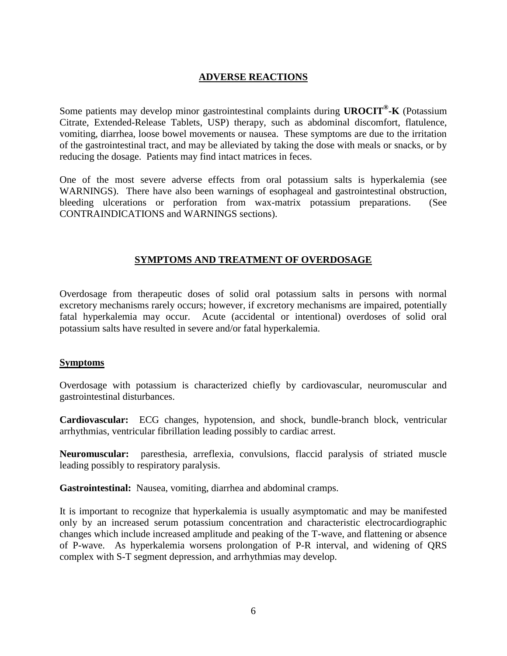### **ADVERSE REACTIONS**

Some patients may develop minor gastrointestinal complaints during **UROCIT® -K** (Potassium Citrate, Extended-Release Tablets, USP) therapy, such as abdominal discomfort, flatulence, vomiting, diarrhea, loose bowel movements or nausea. These symptoms are due to the irritation of the gastrointestinal tract, and may be alleviated by taking the dose with meals or snacks, or by reducing the dosage. Patients may find intact matrices in feces.

One of the most severe adverse effects from oral potassium salts is hyperkalemia (see WARNINGS). There have also been warnings of esophageal and gastrointestinal obstruction, bleeding ulcerations or perforation from wax-matrix potassium preparations. (See CONTRAINDICATIONS and WARNINGS sections).

#### **SYMPTOMS AND TREATMENT OF OVERDOSAGE**

Overdosage from therapeutic doses of solid oral potassium salts in persons with normal excretory mechanisms rarely occurs; however, if excretory mechanisms are impaired, potentially fatal hyperkalemia may occur. Acute (accidental or intentional) overdoses of solid oral potassium salts have resulted in severe and/or fatal hyperkalemia.

#### **Symptoms**

Overdosage with potassium is characterized chiefly by cardiovascular, neuromuscular and gastrointestinal disturbances.

**Cardiovascular:** ECG changes, hypotension, and shock, bundle-branch block, ventricular arrhythmias, ventricular fibrillation leading possibly to cardiac arrest.

**Neuromuscular:** paresthesia, arreflexia, convulsions, flaccid paralysis of striated muscle leading possibly to respiratory paralysis.

**Gastrointestinal:** Nausea, vomiting, diarrhea and abdominal cramps.

It is important to recognize that hyperkalemia is usually asymptomatic and may be manifested only by an increased serum potassium concentration and characteristic electrocardiographic changes which include increased amplitude and peaking of the T-wave, and flattening or absence of P-wave. As hyperkalemia worsens prolongation of P-R interval, and widening of QRS complex with S-T segment depression, and arrhythmias may develop.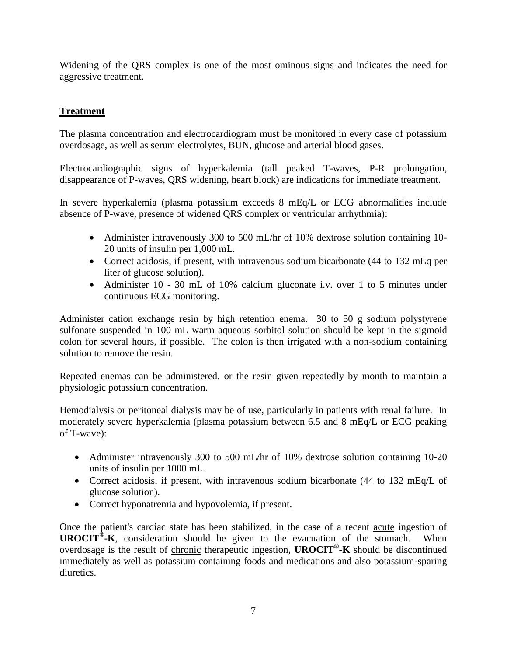Widening of the QRS complex is one of the most ominous signs and indicates the need for aggressive treatment.

# **Treatment**

The plasma concentration and electrocardiogram must be monitored in every case of potassium overdosage, as well as serum electrolytes, BUN, glucose and arterial blood gases.

Electrocardiographic signs of hyperkalemia (tall peaked T-waves, P-R prolongation, disappearance of P-waves, QRS widening, heart block) are indications for immediate treatment.

In severe hyperkalemia (plasma potassium exceeds 8 mEq/L or ECG abnormalities include absence of P-wave, presence of widened QRS complex or ventricular arrhythmia):

- Administer intravenously 300 to 500 mL/hr of 10% dextrose solution containing 10-20 units of insulin per 1,000 mL.
- Correct acidosis, if present, with intravenous sodium bicarbonate (44 to 132 mEq per liter of glucose solution).
- Administer 10 30 mL of 10% calcium gluconate i.v. over 1 to 5 minutes under continuous ECG monitoring.

Administer cation exchange resin by high retention enema. 30 to 50 g sodium polystyrene sulfonate suspended in 100 mL warm aqueous sorbitol solution should be kept in the sigmoid colon for several hours, if possible. The colon is then irrigated with a non-sodium containing solution to remove the resin.

Repeated enemas can be administered, or the resin given repeatedly by month to maintain a physiologic potassium concentration.

Hemodialysis or peritoneal dialysis may be of use, particularly in patients with renal failure. In moderately severe hyperkalemia (plasma potassium between 6.5 and 8 mEq/L or ECG peaking of T-wave):

- Administer intravenously 300 to 500 mL/hr of 10% dextrose solution containing 10-20 units of insulin per 1000 mL.
- Correct acidosis, if present, with intravenous sodium bicarbonate (44 to 132 mEq/L of glucose solution).
- Correct hyponatremia and hypovolemia, if present.

Once the patient's cardiac state has been stabilized, in the case of a recent acute ingestion of **UROCIT® -K**, consideration should be given to the evacuation of the stomach. When overdosage is the result of chronic therapeutic ingestion, **UROCIT® -K** should be discontinued immediately as well as potassium containing foods and medications and also potassium-sparing diuretics.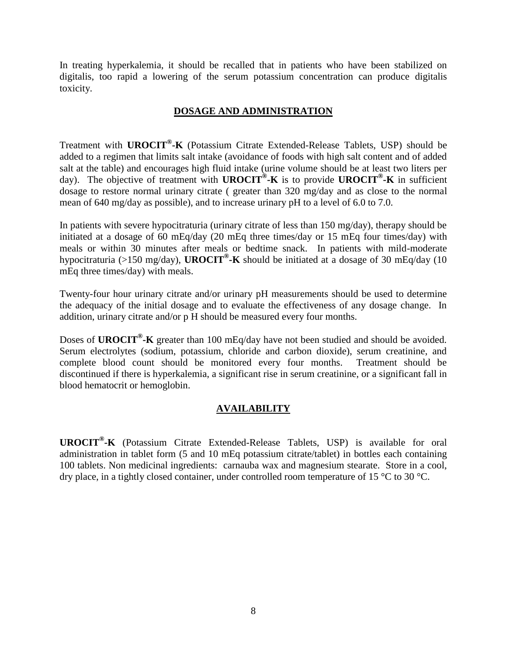In treating hyperkalemia, it should be recalled that in patients who have been stabilized on digitalis, too rapid a lowering of the serum potassium concentration can produce digitalis toxicity.

## **DOSAGE AND ADMINISTRATION**

Treatment with **UROCIT® -K** (Potassium Citrate Extended-Release Tablets, USP) should be added to a regimen that limits salt intake (avoidance of foods with high salt content and of added salt at the table) and encourages high fluid intake (urine volume should be at least two liters per day). The objective of treatment with **UROCIT® -K** is to provide **UROCIT® -K** in sufficient dosage to restore normal urinary citrate ( greater than 320 mg/day and as close to the normal mean of 640 mg/day as possible), and to increase urinary pH to a level of 6.0 to 7.0.

In patients with severe hypocitraturia (urinary citrate of less than 150 mg/day), therapy should be initiated at a dosage of 60 mEq/day (20 mEq three times/day or 15 mEq four times/day) with meals or within 30 minutes after meals or bedtime snack. In patients with mild-moderate hypocitraturia (>150 mg/day), **UROCIT® -K** should be initiated at a dosage of 30 mEq/day (10 mEq three times/day) with meals.

Twenty-four hour urinary citrate and/or urinary pH measurements should be used to determine the adequacy of the initial dosage and to evaluate the effectiveness of any dosage change. In addition, urinary citrate and/or p H should be measured every four months.

Doses of **UROCIT® -K** greater than 100 mEq/day have not been studied and should be avoided. Serum electrolytes (sodium, potassium, chloride and carbon dioxide), serum creatinine, and complete blood count should be monitored every four months. Treatment should be discontinued if there is hyperkalemia, a significant rise in serum creatinine, or a significant fall in blood hematocrit or hemoglobin.

# **AVAILABILITY**

**UROCIT® -K** (Potassium Citrate Extended-Release Tablets, USP) is available for oral administration in tablet form (5 and 10 mEq potassium citrate/tablet) in bottles each containing 100 tablets. Non medicinal ingredients: carnauba wax and magnesium stearate. Store in a cool, dry place, in a tightly closed container, under controlled room temperature of 15 °C to 30 °C.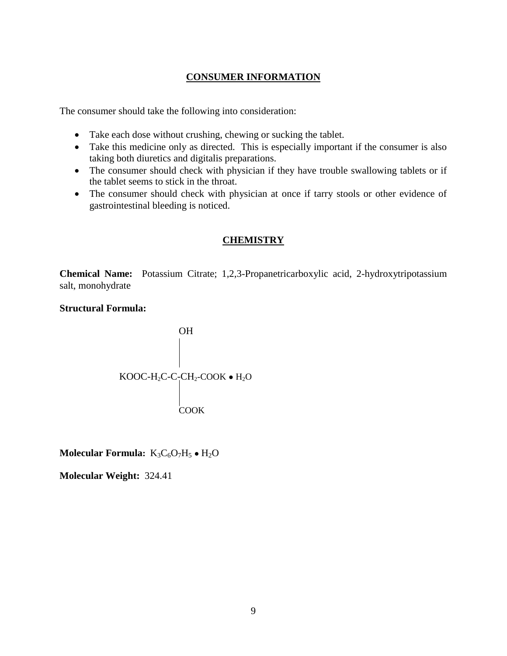#### **CONSUMER INFORMATION**

The consumer should take the following into consideration:

- Take each dose without crushing, chewing or sucking the tablet.
- Take this medicine only as directed. This is especially important if the consumer is also taking both diuretics and digitalis preparations.
- The consumer should check with physician if they have trouble swallowing tablets or if the tablet seems to stick in the throat.
- The consumer should check with physician at once if tarry stools or other evidence of gastrointestinal bleeding is noticed.

#### **CHEMISTRY**

**Chemical Name:** Potassium Citrate; 1,2,3-Propanetricarboxylic acid, 2-hydroxytripotassium salt, monohydrate

#### **Structural Formula:**

$$
\begin{array}{c}\n\text{OH} \\
\downarrow \\
\text{KOOC-H}_{2}\text{C-C-H}_{2}\text{-COOK}\bullet\text{H}_{2}\text{O} \\
\downarrow \\
\text{COOK}\n\end{array}
$$

**Molecular Formula:**  $K_3C_6O_7H_5 \bullet H_2O$ 

**Molecular Weight:** 324.41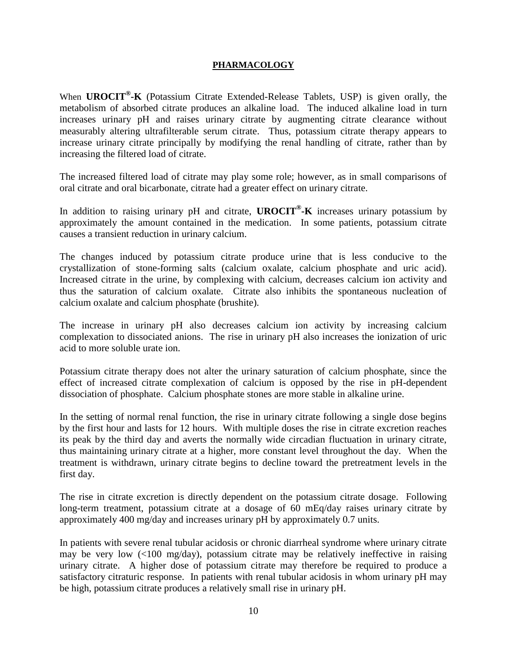#### **PHARMACOLOGY**

When **UROCIT® -K** (Potassium Citrate Extended-Release Tablets, USP) is given orally, the metabolism of absorbed citrate produces an alkaline load. The induced alkaline load in turn increases urinary pH and raises urinary citrate by augmenting citrate clearance without measurably altering ultrafilterable serum citrate. Thus, potassium citrate therapy appears to increase urinary citrate principally by modifying the renal handling of citrate, rather than by increasing the filtered load of citrate.

The increased filtered load of citrate may play some role; however, as in small comparisons of oral citrate and oral bicarbonate, citrate had a greater effect on urinary citrate.

In addition to raising urinary pH and citrate, **UROCIT® -K** increases urinary potassium by approximately the amount contained in the medication. In some patients, potassium citrate causes a transient reduction in urinary calcium.

The changes induced by potassium citrate produce urine that is less conducive to the crystallization of stone-forming salts (calcium oxalate, calcium phosphate and uric acid). Increased citrate in the urine, by complexing with calcium, decreases calcium ion activity and thus the saturation of calcium oxalate. Citrate also inhibits the spontaneous nucleation of calcium oxalate and calcium phosphate (brushite).

The increase in urinary pH also decreases calcium ion activity by increasing calcium complexation to dissociated anions. The rise in urinary pH also increases the ionization of uric acid to more soluble urate ion.

Potassium citrate therapy does not alter the urinary saturation of calcium phosphate, since the effect of increased citrate complexation of calcium is opposed by the rise in pH-dependent dissociation of phosphate. Calcium phosphate stones are more stable in alkaline urine.

In the setting of normal renal function, the rise in urinary citrate following a single dose begins by the first hour and lasts for 12 hours. With multiple doses the rise in citrate excretion reaches its peak by the third day and averts the normally wide circadian fluctuation in urinary citrate, thus maintaining urinary citrate at a higher, more constant level throughout the day. When the treatment is withdrawn, urinary citrate begins to decline toward the pretreatment levels in the first day.

The rise in citrate excretion is directly dependent on the potassium citrate dosage. Following long-term treatment, potassium citrate at a dosage of 60 mEq/day raises urinary citrate by approximately 400 mg/day and increases urinary pH by approximately 0.7 units.

In patients with severe renal tubular acidosis or chronic diarrheal syndrome where urinary citrate may be very low (<100 mg/day), potassium citrate may be relatively ineffective in raising urinary citrate. A higher dose of potassium citrate may therefore be required to produce a satisfactory citraturic response. In patients with renal tubular acidosis in whom urinary pH may be high, potassium citrate produces a relatively small rise in urinary pH.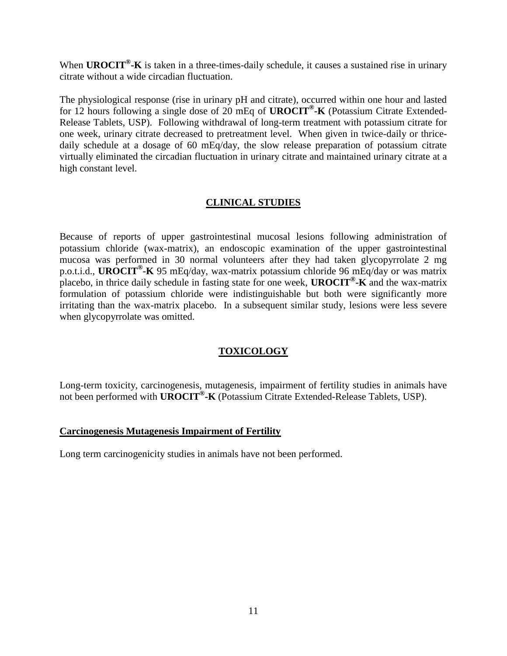When **UROCIT® -K** is taken in a three-times-daily schedule, it causes a sustained rise in urinary citrate without a wide circadian fluctuation.

The physiological response (rise in urinary pH and citrate), occurred within one hour and lasted for 12 hours following a single dose of 20 mEq of **UROCIT® -K** (Potassium Citrate Extended-Release Tablets, USP). Following withdrawal of long-term treatment with potassium citrate for one week, urinary citrate decreased to pretreatment level. When given in twice-daily or thricedaily schedule at a dosage of 60 mEq/day, the slow release preparation of potassium citrate virtually eliminated the circadian fluctuation in urinary citrate and maintained urinary citrate at a high constant level.

# **CLINICAL STUDIES**

Because of reports of upper gastrointestinal mucosal lesions following administration of potassium chloride (wax-matrix), an endoscopic examination of the upper gastrointestinal mucosa was performed in 30 normal volunteers after they had taken glycopyrrolate 2 mg p.o.t.i.d., **UROCIT® -K** 95 mEq/day, wax-matrix potassium chloride 96 mEq/day or was matrix placebo, in thrice daily schedule in fasting state for one week, **UROCIT® -K** and the wax-matrix formulation of potassium chloride were indistinguishable but both were significantly more irritating than the wax-matrix placebo. In a subsequent similar study, lesions were less severe when glycopyrrolate was omitted.

# **TOXICOLOGY**

Long-term toxicity, carcinogenesis, mutagenesis, impairment of fertility studies in animals have not been performed with **UROCIT® -K** (Potassium Citrate Extended-Release Tablets, USP).

#### **Carcinogenesis Mutagenesis Impairment of Fertility**

Long term carcinogenicity studies in animals have not been performed.